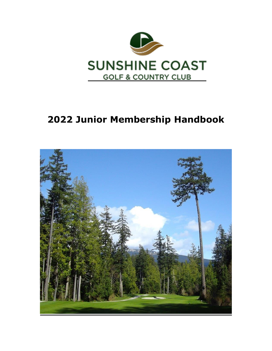

# **2022 Junior Membership Handbook**

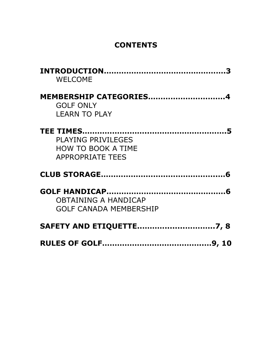### **CONTENTS**

| <b>WELCOME</b>                                                     |
|--------------------------------------------------------------------|
| MEMBERSHIP CATEGORIES4<br><b>GOLF ONLY</b><br><b>LEARN TO PLAY</b> |
|                                                                    |
| <b>PLAYING PRIVILEGES</b>                                          |
| <b>HOW TO BOOK A TIME</b>                                          |
| <b>APPROPRIATE TEES</b>                                            |
|                                                                    |
|                                                                    |
| <b>OBTAINING A HANDICAP</b>                                        |
| <b>GOLF CANADA MEMBERSHIP</b>                                      |
| <b>SAFETY AND ETIQUETTE7, 8</b>                                    |
|                                                                    |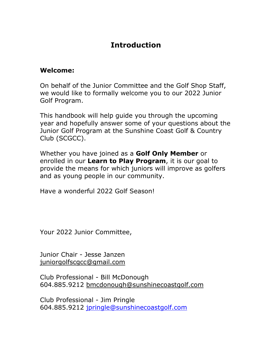### **Introduction**

#### **Welcome:**

On behalf of the Junior Committee and the Golf Shop Staff, we would like to formally welcome you to our 2022 Junior Golf Program.

This handbook will help guide you through the upcoming year and hopefully answer some of your questions about the Junior Golf Program at the Sunshine Coast Golf & Country Club (SCGCC).

Whether you have joined as a **Golf Only Member** or enrolled in our **Learn to Play Program**, it is our goal to provide the means for which juniors will improve as golfers and as young people in our community.

Have a wonderful 2022 Golf Season!

Your 2022 Junior Committee,

Junior Chair - Jesse Janzen juniorgolfscgcc@gmail.com

Club Professional - Bill McDonough 604.885.9212 bmcdonough@sunshinecoastgolf.com

Club Professional - Jim Pringle 604.885.9212 [jpringle@sunshinecoastgolf.com](mailto:jpringle@sunshinecoastgolf.com)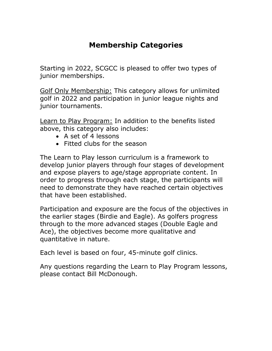### **Membership Categories**

Starting in 2022, SCGCC is pleased to offer two types of junior memberships.

Golf Only Membership: This category allows for unlimited golf in 2022 and participation in junior league nights and junior tournaments.

Learn to Play Program: In addition to the benefits listed above, this category also includes:

- A set of 4 lessons
- Fitted clubs for the season

The Learn to Play lesson curriculum is a framework to develop junior players through four stages of development and expose players to age/stage appropriate content. In order to progress through each stage, the participants will need to demonstrate they have reached certain objectives that have been established.

Participation and exposure are the focus of the objectives in the earlier stages (Birdie and Eagle). As golfers progress through to the more advanced stages (Double Eagle and Ace), the objectives become more qualitative and quantitative in nature.

Each level is based on four, 45-minute golf clinics.

Any questions regarding the Learn to Play Program lessons, please contact Bill McDonough.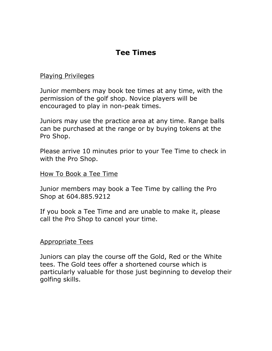### **Tee Times**

#### Playing Privileges

Junior members may book tee times at any time, with the permission of the golf shop. Novice players will be encouraged to play in non-peak times.

Juniors may use the practice area at any time. Range balls can be purchased at the range or by buying tokens at the Pro Shop.

Please arrive 10 minutes prior to your Tee Time to check in with the Pro Shop.

#### How To Book a Tee Time

Junior members may book a Tee Time by calling the Pro Shop at 604.885.9212

If you book a Tee Time and are unable to make it, please call the Pro Shop to cancel your time.

#### Appropriate Tees

Juniors can play the course off the Gold, Red or the White tees. The Gold tees offer a shortened course which is particularly valuable for those just beginning to develop their golfing skills.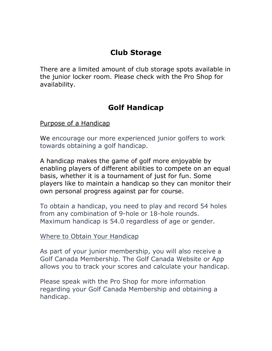### **Club Storage**

There are a limited amount of club storage spots available in the junior locker room. Please check with the Pro Shop for availability.

### **Golf Handicap**

Purpose of a Handicap

We encourage our more experienced junior golfers to work towards obtaining a golf handicap.

A handicap makes the game of golf more enjoyable by enabling players of different abilities to compete on an equal basis, whether it is a tournament of just for fun. Some players like to maintain a handicap so they can monitor their own personal progress against par for course.

To obtain a handicap, you need to play and record 54 holes from any combination of 9-hole or 18-hole rounds. Maximum handicap is 54.0 regardless of age or gender.

#### Where to Obtain Your Handicap

As part of your junior membership, you will also receive a Golf Canada Membership. The Golf Canada Website or App allows you to track your scores and calculate your handicap.

Please speak with the Pro Shop for more information regarding your Golf Canada Membership and obtaining a handicap.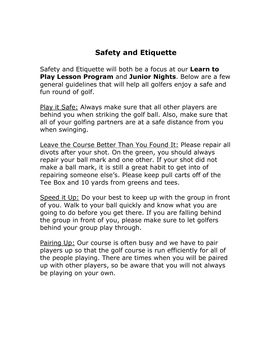### **Safety and Etiquette**

Safety and Etiquette will both be a focus at our **Learn to Play Lesson Program** and **Junior Nights**. Below are a few general guidelines that will help all golfers enjoy a safe and fun round of golf.

Play it Safe: Always make sure that all other players are behind you when striking the golf ball. Also, make sure that all of your golfing partners are at a safe distance from you when swinging.

Leave the Course Better Than You Found It: Please repair all divots after your shot. On the green, you should always repair your ball mark and one other. If your shot did not make a ball mark, it is still a great habit to get into of repairing someone else's. Please keep pull carts off of the Tee Box and 10 yards from greens and tees.

Speed it Up: Do your best to keep up with the group in front of you. Walk to your ball quickly and know what you are going to do before you get there. If you are falling behind the group in front of you, please make sure to let golfers behind your group play through.

Pairing Up: Our course is often busy and we have to pair players up so that the golf course is run efficiently for all of the people playing. There are times when you will be paired up with other players, so be aware that you will not always be playing on your own.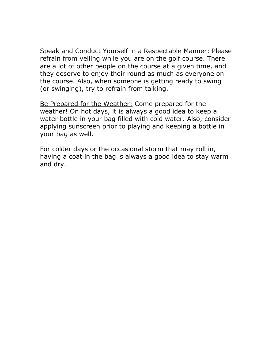Speak and Conduct Yourself in a Respectable Manner: Please refrain from yelling while you are on the golf course. There are a lot of other people on the course at a given time, and they deserve to enjoy their round as much as everyone on the course. Also, when someone is getting ready to swing (or swinging), try to refrain from talking.

Be Prepared for the Weather: Come prepared for the weather! On hot days, it is always a good idea to keep a water bottle in your bag filled with cold water. Also, consider applying sunscreen prior to playing and keeping a bottle in your bag as well.

For colder days or the occasional storm that may roll in, having a coat in the bag is always a good idea to stay warm and dry.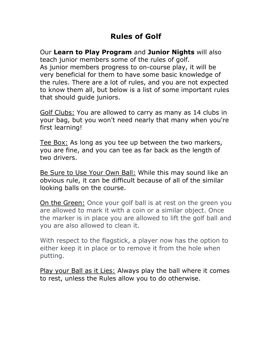### **Rules of Golf**

Our **Learn to Play Program** and **Junior Nights** will also teach junior members some of the rules of golf. As junior members progress to on-course play, it will be very beneficial for them to have some basic knowledge of the rules. There are a lot of rules, and you are not expected to know them all, but below is a list of some important rules that should guide juniors.

Golf Clubs: You are allowed to carry as many as 14 clubs in your bag, but you won't need nearly that many when you're first learning!

Tee Box: As long as you tee up between the two markers, you are fine, and you can tee as far back as the length of two drivers.

Be Sure to Use Your Own Ball: While this may sound like an obvious rule, it can be difficult because of all of the similar looking balls on the course.

On the Green: Once your golf ball is at rest on the green you are allowed to mark it with a coin or a similar object. Once the marker is in place you are allowed to lift the golf ball and you are also allowed to clean it.

With respect to the flagstick, a player now has the option to either keep it in place or to remove it from the hole when putting.

Play your Ball as it Lies: Always play the ball where it comes to rest, unless the Rules allow you to do otherwise.